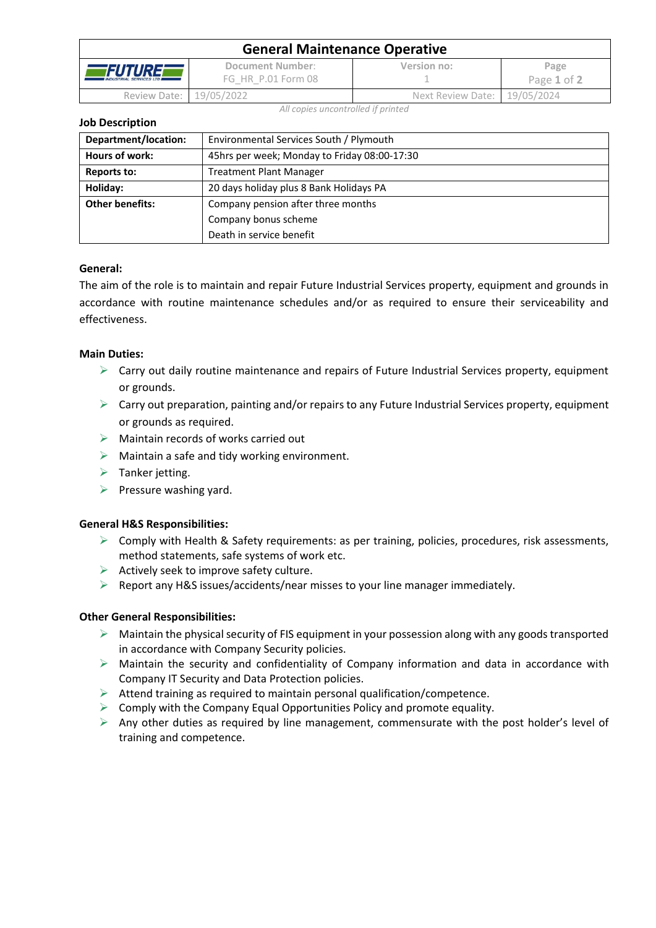| <b>General Maintenance Operative</b>                     |                                        |                              |                     |  |  |
|----------------------------------------------------------|----------------------------------------|------------------------------|---------------------|--|--|
| <i><b>FUTURE</b></i><br><b>INDUSTRIAL SERVICES LTD #</b> | Document Number:<br>FG HR P.01 Form 08 | Version no:                  | Page<br>Page 1 of 2 |  |  |
| Review Date: 19/05/2022                                  |                                        | Next Review Date: 19/05/2024 |                     |  |  |

*All copies uncontrolled if printed*

**Job Description**

| Department/location:   | Environmental Services South / Plymouth      |  |  |
|------------------------|----------------------------------------------|--|--|
| Hours of work:         | 45hrs per week; Monday to Friday 08:00-17:30 |  |  |
| Reports to:            | <b>Treatment Plant Manager</b>               |  |  |
| Holiday:               | 20 days holiday plus 8 Bank Holidays PA      |  |  |
| <b>Other benefits:</b> | Company pension after three months           |  |  |
|                        | Company bonus scheme                         |  |  |
|                        | Death in service benefit                     |  |  |

## **General:**

The aim of the role is to maintain and repair Future Industrial Services property, equipment and grounds in accordance with routine maintenance schedules and/or as required to ensure their serviceability and effectiveness.

### **Main Duties:**

- ➢ Carry out daily routine maintenance and repairs of Future Industrial Services property, equipment or grounds.
- $\triangleright$  Carry out preparation, painting and/or repairs to any Future Industrial Services property, equipment or grounds as required.
- $\triangleright$  Maintain records of works carried out
- $\triangleright$  Maintain a safe and tidy working environment.
- $\triangleright$  Tanker jetting.
- $\triangleright$  Pressure washing yard.

### **General H&S Responsibilities:**

- $\triangleright$  Comply with Health & Safety requirements: as per training, policies, procedures, risk assessments, method statements, safe systems of work etc.
- $\triangleright$  Actively seek to improve safety culture.
- ➢ Report any H&S issues/accidents/near misses to your line manager immediately.

### **Other General Responsibilities:**

- $\triangleright$  Maintain the physical security of FIS equipment in your possession along with any goods transported in accordance with Company Security policies.
- $\triangleright$  Maintain the security and confidentiality of Company information and data in accordance with Company IT Security and Data Protection policies.
- ➢ Attend training as required to maintain personal qualification/competence.
- $\triangleright$  Comply with the Company Equal Opportunities Policy and promote equality.
- $\triangleright$  Any other duties as required by line management, commensurate with the post holder's level of training and competence.